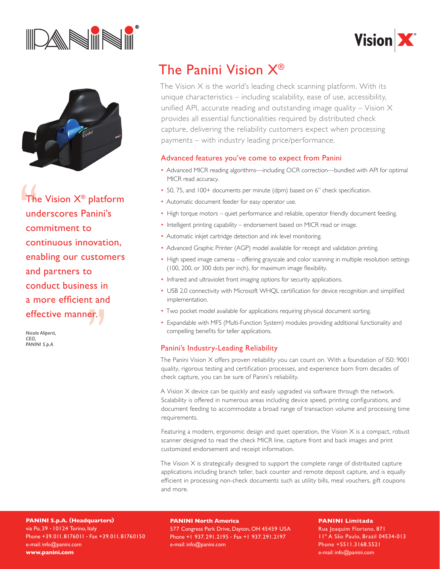





The Vision  $X^{\circledast}$  platform underscores Panini's commitment to continuous innovation, enabling our customers and partners to conduct business in a more efficient and effective manner.

*Nicola Aliperti, CEO, Panini S.p.A.*

## The Panini Vision X®

The Vision  $X$  is the world's leading check scanning platform. With its unique characteristics – including scalability, ease of use, accessibility, unified API, accurate reading and outstanding image quality  $-$  Vision  $\times$ provides all essential functionalities required by distributed check capture, delivering the reliability customers expect when processing payments – with industry leading price/performance.

### Advanced features you've come to expect from Panini

- Advanced MICR reading algorithms—including OCR correction—bundled with API for optimal MICR read accuracy.
- 50, 75, and 100+ documents per minute (dpm) based on 6" check specification.
- Automatic document feeder for easy operator use.
- High torque motors quiet performance and reliable, operator friendly document feeding.
- Intelligent printing capability endorsement based on MICR read or image.
- Automatic inkjet cartridge detection and ink level monitoring.
- Advanced Graphic Printer (AGP) model available for receipt and validation printing.
- High speed image cameras offering grayscale and color scanning in multiple resolution settings (100, 200, or 300 dots per inch), for maximum image flexibility.
- Infrared and ultraviolet front imaging options for security applications.
- USB 2.0 connectivity with Microsoft WHQL certification for device recognition and simplified implementation.
- Two pocket model available for applications requiring physical document sorting.
- Expandable with MFS (Multi-Function System) modules providing additional functionality and compelling benefits for teller applications.

### Panini's Industry-Leading Reliability

The Panini Vision X offers proven reliability you can count on. With a foundation of IS0: 9001 quality, rigorous testing and certification processes, and experience born from decades of check capture, you can be sure of Panini's reliability.

A Vision X device can be quickly and easily upgraded via software through the network. Scalability is offered in numerous areas including device speed, printing configurations, and document feeding to accommodate a broad range of transaction volume and processing time requirements.

Featuring a modern, ergonomic design and quiet operation, the Vision  $X$  is a compact, robust scanner designed to read the check MICR line, capture front and back images and print customized endorsement and receipt information.

The Vision X is strategically designed to support the complete range of distributed capture applications including branch teller, back counter and remote deposit capture, and is equally efficient in processing non-check documents such as utility bills, meal vouchers, gift coupons and more.

**PANINI S.p.A. (Headquarters)** via Po, 39 - 10124 Torino, Italy Phone +39.011.8176011 - Fax +39.011.81760150 e-mail: info@panini.com **www.panini.com**

#### **PANINI North America**

577 Congress Park Drive, Dayton, OH 45459 USA Phone +1 937. 291.2195 - Fax +1 937. 291.2197 e-mail: info@panini.com

## **PANINI Limitada**

Rua Joaquim Floriano, 871 11º A São Paulo, Brazil 04534-013 Phone +5511.3168.5521 e-mail: info@panini.com